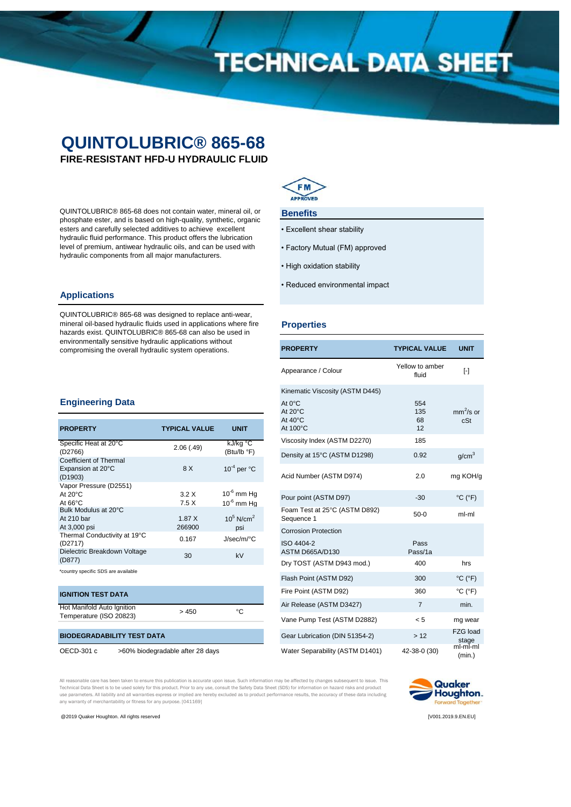# **TECHNICAL DATA SHEET**

# **QUINTOLUBRIC® 865-68**

**FIRE-RESISTANT HFD-U HYDRAULIC FLUID**

QUINTOLUBRIC® 865-68 does not contain water, mineral oil, or phosphate ester, and is based on high-quality, synthetic, organic esters and carefully selected additives to achieve excellent hydraulic fluid performance. This product offers the lubrication level of premium, antiwear hydraulic oils, and can be used with hydraulic components from all major manufacturers.

## **Applications**

QUINTOLUBRIC® 865-68 was designed to replace anti-wear, mineral oil-based hydraulic fluids used in applications where fire hazards exist. QUINTOLUBRIC® 865-68 can also be used in environmentally sensitive hydraulic applications without compromising the overall hydraulic system operations.



### **Benefits**

- Excellent shear stability
- Factory Mutual (FM) approved
- High oxidation stability
- Reduced environmental impact

### **Properties**

| <b>PROPERTY</b>                             | <b>TYPICAL VALUE</b>     | UNIT                         |
|---------------------------------------------|--------------------------|------------------------------|
| Appearance / Colour                         | Yellow to amber<br>fluid | $\lceil - \rceil$            |
| Kinematic Viscosity (ASTM D445)             |                          |                              |
| At 0°C<br>At 20°C<br>At 40°C<br>At 100°C    | 554<br>135<br>68<br>12   | $mm^2$ /s or<br>cSt          |
| Viscosity Index (ASTM D2270)                | 185                      |                              |
| Density at 15°C (ASTM D1298)                | 0.92                     | g/cm <sup>3</sup>            |
| Acid Number (ASTM D974)                     | 2.0                      | mg KOH/g                     |
| Pour point (ASTM D97)                       | $-30$                    | $^{\circ}$ C ( $^{\circ}$ F) |
| Foam Test at 25°C (ASTM D892)<br>Sequence 1 | $50-0$                   | ml-ml                        |
| <b>Corrosion Protection</b>                 |                          |                              |
| ISO 4404-2<br>ASTM D665A/D130               | Pass<br>Pass/1a          |                              |
| Dry TOST (ASTM D943 mod.)                   | 400                      | hrs                          |
| Flash Point (ASTM D92)                      | 300                      | $^{\circ}$ C ( $^{\circ}$ F) |
| Fire Point (ASTM D92)                       | 360                      | $^{\circ}$ C ( $^{\circ}$ F) |
| Air Release (ASTM D3427)                    | $\overline{7}$           | min.                         |
| Vane Pump Test (ASTM D2882)                 | < 5                      | mg wear                      |
| Gear Lubrication (DIN 51354-2)              | >12                      | <b>FZG load</b><br>stage     |
| Water Separability (ASTM D1401)             | 42-38-0 (30)             | ml-ml-ml<br>(min.)           |

### **Engineering Data**

| <b>PROPERTY</b>                                                  | <b>TYPICAL VALUE</b> | <b>UNIT</b>                        |
|------------------------------------------------------------------|----------------------|------------------------------------|
| Specific Heat at 20°C<br>(D2766)                                 | 2.06(0.49)           | kJ/kg °C<br>(Btu/lb °F)            |
| Coefficient of Thermal<br>Expansion at 20°C<br>(D1903)           | 8 X                  | $10^{-4}$ per $^{\circ}$ C         |
| Vapor Pressure (D2551)<br>At $20^{\circ}$ C<br>At $66^{\circ}$ C | 3.2X<br>7.5X         | $10^{-6}$ mm Hg<br>$10^{-6}$ mm Ha |
| Bulk Modulus at 20°C<br>At 210 bar<br>At 3,000 psi               | 1.87X<br>266900      | $10^5$ N/cm <sup>2</sup><br>psi    |
| Thermal Conductivity at 19°C<br>(D2717)                          | 0.167                | $J/sec/m$ <sup>o</sup> C           |
| Dielectric Breakdown Voltage<br>(D877)                           | 30                   | kV                                 |
| *country specific SDS are available                              |                      |                                    |

### **IGNITION TEST DATA**

France extens (IOO 00000)  $> 450$  °C Temperature (ISO 20823)

### **BIODEGRADABILITY TEST DATA**

OECD-301 c >60% biodegradable after 28 days

All reasonable care has been taken to ensure this publication is accurate upon issue. Such information may be affected by changes subsequent to issue. This Technical Data Sheet is to be used solely for this product. Prior to any use, consult the Safety Data Sheet (SDS) for information on hazard risks and product<br>use parameters. All liability and all warranties express or impl any warranty of merchantability or fitness for any purpose. [041169]



@2019 Quaker Houghton. All rights reserved [V001.2019.9.EN.EU]